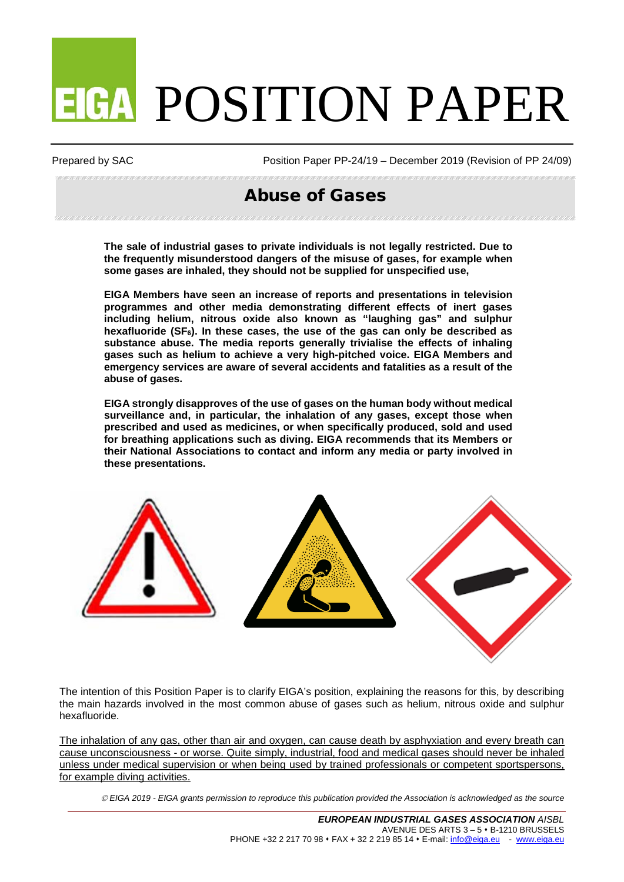# **EIGA POSITION PAPER**

Prepared by SAC Position Paper PP-24/19 – December 2019 (Revision of PP 24/09)

# Abuse of Gases

**The sale of industrial gases to private individuals is not legally restricted. Due to the frequently misunderstood dangers of the misuse of gases, for example when some gases are inhaled, they should not be supplied for unspecified use,**

**EIGA Members have seen an increase of reports and presentations in television programmes and other media demonstrating different effects of inert gases including helium, nitrous oxide also known as "laughing gas" and sulphur hexafluoride (SF6). In these cases, the use of the gas can only be described as substance abuse. The media reports generally trivialise the effects of inhaling gases such as helium to achieve a very high-pitched voice. EIGA Members and emergency services are aware of several accidents and fatalities as a result of the abuse of gases.**

**EIGA strongly disapproves of the use of gases on the human body without medical surveillance and, in particular, the inhalation of any gases, except those when prescribed and used as medicines, or when specifically produced, sold and used for breathing applications such as diving. EIGA recommends that its Members or their National Associations to contact and inform any media or party involved in these presentations.**



The intention of this Position Paper is to clarify EIGA's position, explaining the reasons for this, by describing the main hazards involved in the most common abuse of gases such as helium, nitrous oxide and sulphur hexafluoride.

The inhalation of any gas, other than air and oxygen, can cause death by asphyxiation and every breath can cause unconsciousness - or worse. Quite simply, industrial, food and medical gases should never be inhaled unless under medical supervision or when being used by trained professionals or competent sportspersons, for example diving activities.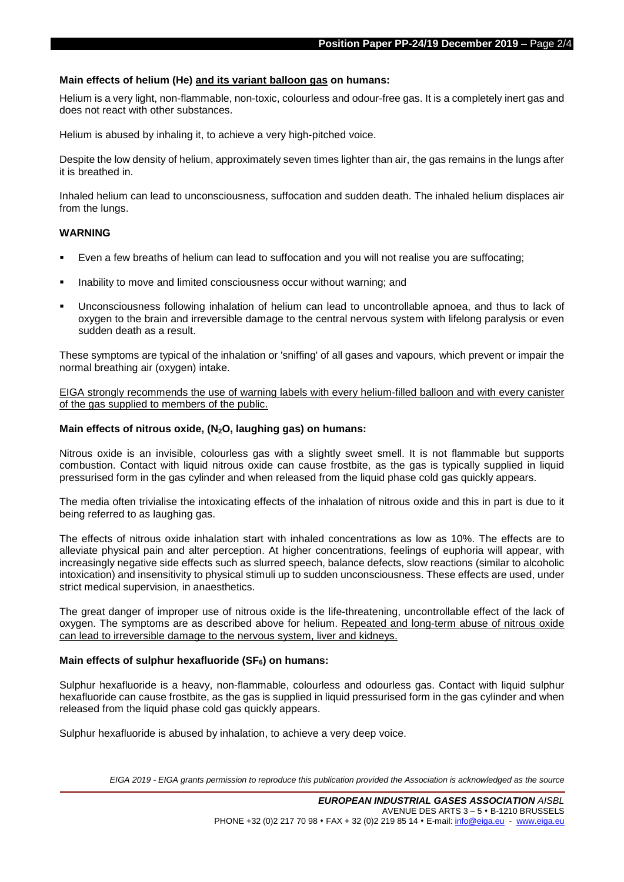#### **Main effects of helium (He) and its variant balloon gas on humans:**

Helium is a very light, non-flammable, non-toxic, colourless and odour-free gas. It is a completely inert gas and does not react with other substances.

Helium is abused by inhaling it, to achieve a very high-pitched voice.

Despite the low density of helium, approximately seven times lighter than air, the gas remains in the lungs after it is breathed in.

Inhaled helium can lead to unconsciousness, suffocation and sudden death. The inhaled helium displaces air from the lungs.

#### **WARNING**

- Even a few breaths of helium can lead to suffocation and you will not realise you are suffocating;
- Inability to move and limited consciousness occur without warning; and
- Unconsciousness following inhalation of helium can lead to uncontrollable apnoea, and thus to lack of oxygen to the brain and irreversible damage to the central nervous system with lifelong paralysis or even sudden death as a result.

These symptoms are typical of the inhalation or 'sniffing' of all gases and vapours, which prevent or impair the normal breathing air (oxygen) intake.

EIGA strongly recommends the use of warning labels with every helium-filled balloon and with every canister of the gas supplied to members of the public.

#### **Main effects of nitrous oxide, (N2O, laughing gas) on humans:**

Nitrous oxide is an invisible, colourless gas with a slightly sweet smell. It is not flammable but supports combustion. Contact with liquid nitrous oxide can cause frostbite, as the gas is typically supplied in liquid pressurised form in the gas cylinder and when released from the liquid phase cold gas quickly appears.

The media often trivialise the intoxicating effects of the inhalation of nitrous oxide and this in part is due to it being referred to as laughing gas.

The effects of nitrous oxide inhalation start with inhaled concentrations as low as 10%. The effects are to alleviate physical pain and alter perception. At higher concentrations, feelings of euphoria will appear, with increasingly negative side effects such as slurred speech, balance defects, slow reactions (similar to alcoholic intoxication) and insensitivity to physical stimuli up to sudden unconsciousness. These effects are used, under strict medical supervision, in anaesthetics.

The great danger of improper use of nitrous oxide is the life-threatening, uncontrollable effect of the lack of oxygen. The symptoms are as described above for helium. Repeated and long-term abuse of nitrous oxide can lead to irreversible damage to the nervous system, liver and kidneys.

# Main effects of sulphur hexafluoride (SF<sub>6</sub>) on humans:

Sulphur hexafluoride is a heavy, non-flammable, colourless and odourless gas. Contact with liquid sulphur hexafluoride can cause frostbite, as the gas is supplied in liquid pressurised form in the gas cylinder and when released from the liquid phase cold gas quickly appears.

Sulphur hexafluoride is abused by inhalation, to achieve a very deep voice.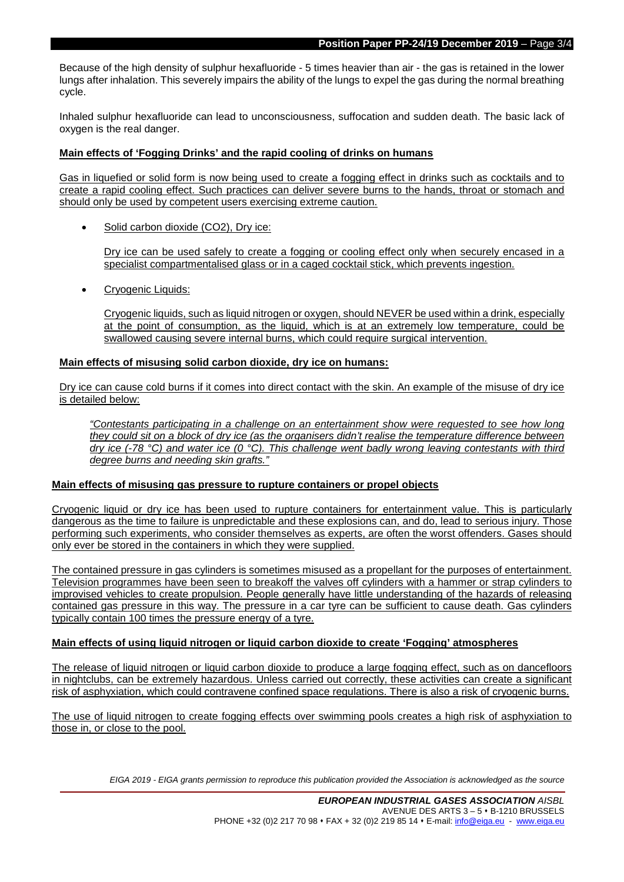Because of the high density of sulphur hexafluoride - 5 times heavier than air - the gas is retained in the lower lungs after inhalation. This severely impairs the ability of the lungs to expel the gas during the normal breathing cycle.

Inhaled sulphur hexafluoride can lead to unconsciousness, suffocation and sudden death. The basic lack of oxygen is the real danger.

## **Main effects of 'Fogging Drinks' and the rapid cooling of drinks on humans**

Gas in liquefied or solid form is now being used to create a fogging effect in drinks such as cocktails and to create a rapid cooling effect. Such practices can deliver severe burns to the hands, throat or stomach and should only be used by competent users exercising extreme caution.

Solid carbon dioxide (CO2), Dry ice:

Dry ice can be used safely to create a fogging or cooling effect only when securely encased in a specialist compartmentalised glass or in a caged cocktail stick, which prevents ingestion.

• Cryogenic Liquids:

Cryogenic liquids, such as liquid nitrogen or oxygen, should NEVER be used within a drink, especially at the point of consumption, as the liquid, which is at an extremely low temperature, could be swallowed causing severe internal burns, which could require surgical intervention.

#### **Main effects of misusing solid carbon dioxide, dry ice on humans:**

Dry ice can cause cold burns if it comes into direct contact with the skin. An example of the misuse of dry ice is detailed below:

*"Contestants participating in a challenge on an entertainment show were requested to see how long they could sit on a block of dry ice (as the organisers didn't realise the temperature difference between dry ice (-78 °C) and water ice (0 °C). This challenge went badly wrong leaving contestants with third degree burns and needing skin grafts."*

#### **Main effects of misusing gas pressure to rupture containers or propel objects**

Cryogenic liquid or dry ice has been used to rupture containers for entertainment value. This is particularly dangerous as the time to failure is unpredictable and these explosions can, and do, lead to serious injury. Those performing such experiments, who consider themselves as experts, are often the worst offenders. Gases should only ever be stored in the containers in which they were supplied.

The contained pressure in gas cylinders is sometimes misused as a propellant for the purposes of entertainment. Television programmes have been seen to breakoff the valves off cylinders with a hammer or strap cylinders to improvised vehicles to create propulsion. People generally have little understanding of the hazards of releasing contained gas pressure in this way. The pressure in a car tyre can be sufficient to cause death. Gas cylinders typically contain 100 times the pressure energy of a tyre.

#### **Main effects of using liquid nitrogen or liquid carbon dioxide to create 'Fogging' atmospheres**

The release of liquid nitrogen or liquid carbon dioxide to produce a large fogging effect, such as on dancefloors in nightclubs, can be extremely hazardous. Unless carried out correctly, these activities can create a significant risk of asphyxiation, which could contravene confined space regulations. There is also a risk of cryogenic burns.

The use of liquid nitrogen to create fogging effects over swimming pools creates a high risk of asphyxiation to those in, or close to the pool.